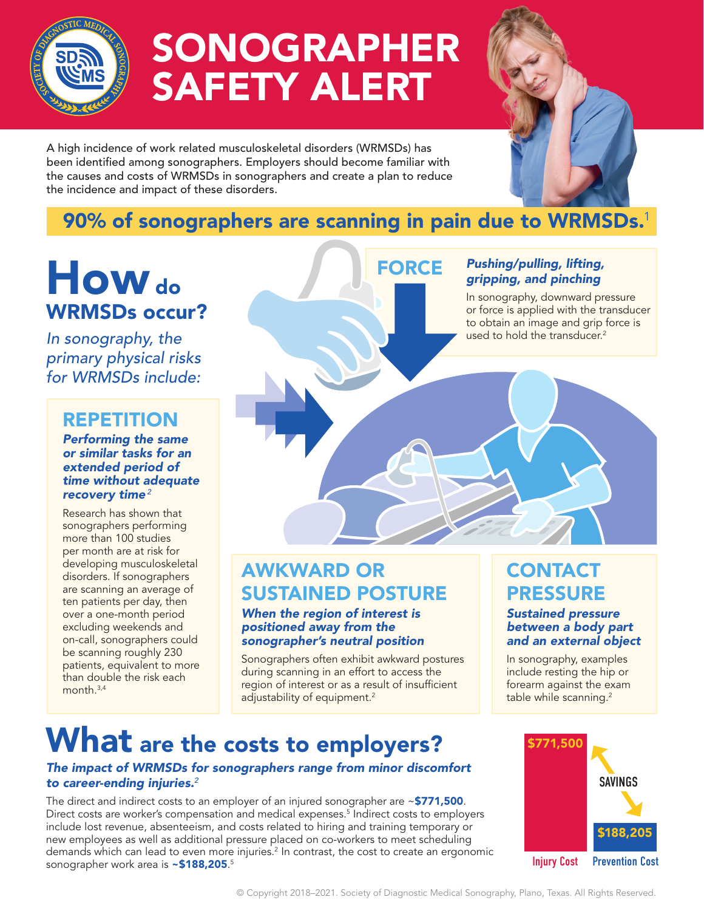

# SONOGRAPHER SAFETY ALERT

A high incidence of work related musculoskeletal disorders (WRMSDs) has been identified among sonographers. Employers should become familiar with the causes and costs of WRMSDs in sonographers and create a plan to reduce the incidence and impact of these disorders.

## 90% of sonographers are scanning in pain due to WRMSDs.<sup>1</sup>

FORCE

## How do WRMSDs occur?

*In sonography, the primary physical risks for WRMSDs include:* 

## REPETITION

### *Performing the same or similar tasks for an extended period of time without adequate recovery time<sup>2</sup>*

Research has shown that sonographers performing more than 100 studies per month are at risk for developing musculoskeletal disorders. If sonographers are scanning an average of ten patients per day, then over a one-month period excluding weekends and on-call, sonographers could be scanning roughly 230 patients, equivalent to more than double the risk each month  $3,4$ 

## *Pushing/pulling, lifting, gripping, and pinching*

In sonography, downward pressure or force is applied with the transducer to obtain an image and grip force is used to hold the transducer.<sup>2</sup>

## AWKWARD OR SUSTAINED POSTURE

### *When the region of interest is positioned away from the sonographer's neutral position*

Sonographers often exhibit awkward postures during scanning in an effort to access the region of interest or as a result of insufficient adjustability of equipment.<sup>2</sup>

## **CONTACT** PRESSURE

### *Sustained pressure between a body part and an external object*

In sonography, examples include resting the hip or forearm against the exam table while scanning.<sup>2</sup>

## What are the costs to employers?

### *The impact of WRMSDs for sonographers range from minor discomfort to career-ending injuries.<sup>2</sup>*

The direct and indirect costs to an employer of an injured sonographer are ~\$771,500. Direct costs are worker's compensation and medical expenses.<sup>5</sup> Indirect costs to employers include lost revenue, absenteeism, and costs related to hiring and training temporary or new employees as well as additional pressure placed on co-workers to meet scheduling demands which can lead to even more injuries.<sup>2</sup> In contrast, the cost to create an ergonomic sonographer work area is **~\$188,205**.<sup>5</sup>